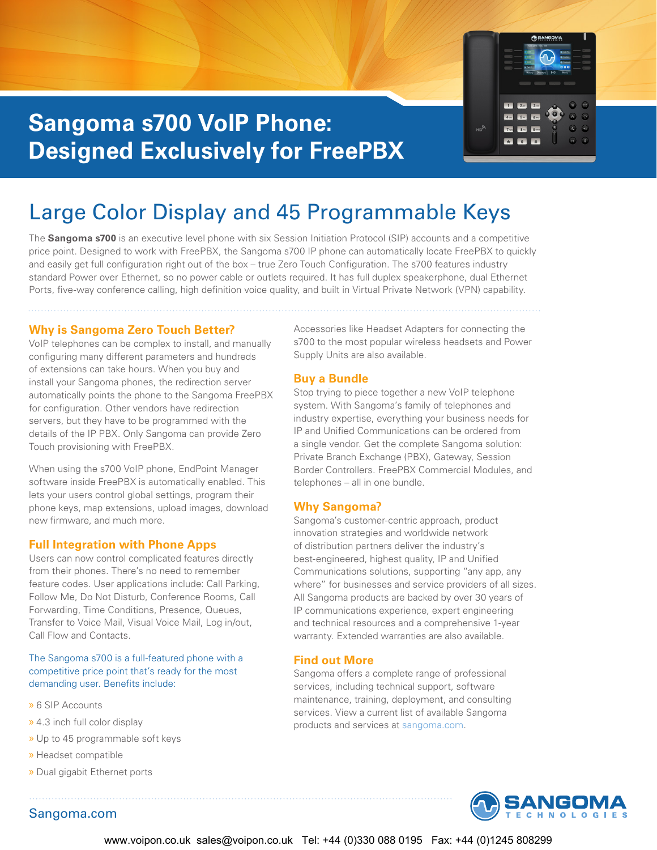

# **Sangoma s700 VoIP Phone: Designed Exclusively for FreePBX**

# Large Color Display and 45 Programmable Keys

The **Sangoma s700** is an executive level phone with six Session Initiation Protocol (SIP) accounts and a competitive price point. Designed to work with FreePBX, the Sangoma s700 IP phone can automatically locate FreePBX to quickly and easily get full configuration right out of the box – true Zero Touch Configuration. The s700 features industry standard Power over Ethernet, so no power cable or outlets required. It has full duplex speakerphone, dual Ethernet Ports, five-way conference calling, high definition voice quality, and built in Virtual Private Network (VPN) capability.

### **Why is Sangoma Zero Touch Better?**

VoIP telephones can be complex to install, and manually configuring many different parameters and hundreds of extensions can take hours. When you buy and install your Sangoma phones, the redirection server automatically points the phone to the Sangoma FreePBX for configuration. Other vendors have redirection servers, but they have to be programmed with the details of the IP PBX. Only Sangoma can provide Zero Touch provisioning with FreePBX.

When using the s700 VoIP phone, EndPoint Manager software inside FreePBX is automatically enabled. This lets your users control global settings, program their phone keys, map extensions, upload images, download new firmware, and much more.

### **Full Integration with Phone Apps**

Users can now control complicated features directly from their phones. There's no need to remember feature codes. User applications include: Call Parking, Follow Me, Do Not Disturb, Conference Rooms, Call Forwarding, Time Conditions, Presence, Queues, Transfer to Voice Mail, Visual Voice Mail, Log in/out, Call Flow and Contacts.

The Sangoma s700 is a full-featured phone with a competitive price point that's ready for the most demanding user. Benefits include:

- » 6 SIP Accounts
- » 4.3 inch full color display
- » Up to 45 programmable soft keys
- » Headset compatible
- » Dual gigabit Ethernet ports

Sangoma.com

Accessories like Headset Adapters for connecting the s700 to the most popular wireless headsets and Power Supply Units are also available.

#### **Buy a Bundle**

Stop trying to piece together a new VoIP telephone system. With Sangoma's family of telephones and industry expertise, everything your business needs for IP and Unified Communications can be ordered from a single vendor. Get the complete Sangoma solution: Private Branch Exchange (PBX), Gateway, Session Border Controllers. FreePBX Commercial Modules, and telephones – all in one bundle.

#### **Why Sangoma?**

Sangoma's customer-centric approach, product innovation strategies and worldwide network of distribution partners deliver the industry's best-engineered, highest quality, IP and Unified Communications solutions, supporting "any app, any where" for businesses and service providers of all sizes. All Sangoma products are backed by over 30 years of IP communications experience, expert engineering and technical resources and a comprehensive 1-year warranty. Extended warranties are also available.

#### **Find out More**

Sangoma offers a complete range of professional services, including technical support, software maintenance, training, deployment, and consulting services. View a current list of available Sangoma products and services at sangoma.com.

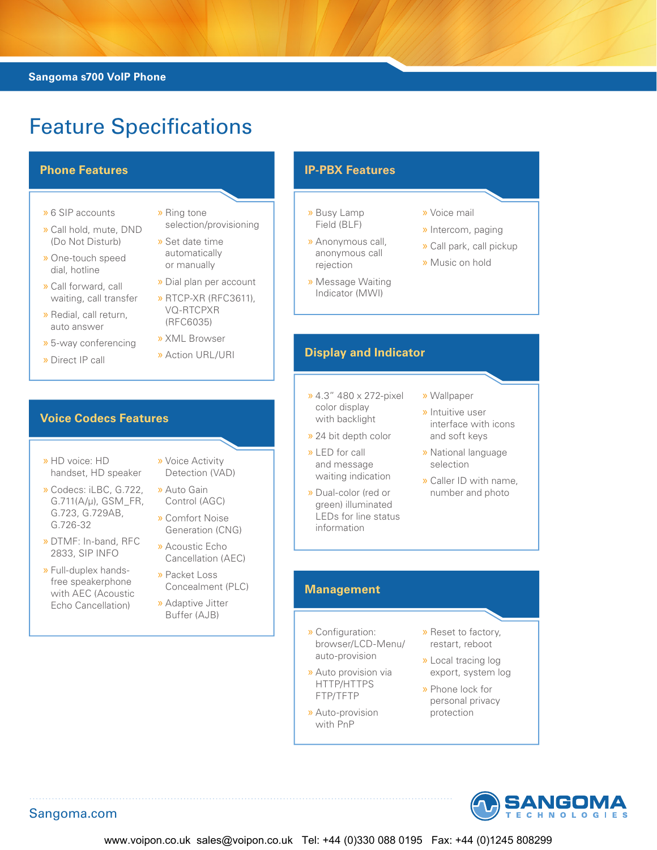### **Sangoma s700 VoIP Phone**

# Feature Specifications

- » 6 SIP accounts
- » Call hold, mute, DND (Do Not Disturb)
- » One-touch speed dial, hotline
- » Call forward, call waiting, call transfer
- » Redial, call return, auto answer
- » 5-way conferencing
- » Direct IP call
- » Ring tone selection/provisioning
- » Set date time automatically or manually
- » Dial plan per account
- » RTCP-XR (RFC3611), VQ-RTCPXR (RFC6035)
- » XML Browser
- » Action URL/URI

# **Voice Codecs Features**

- » HD voice: HD handset, HD speaker
- » Codecs: iLBC, G.722, G.711(A/μ), GSM\_FR, G.723, G.729AB, G.726-32
- » DTMF: In-band, RFC 2833, SIP INFO
- » Full-duplex handsfree speakerphone with AEC (Acoustic Echo Cancellation)
- » Voice Activity Detection (VAD)
- » Auto Gain Control (AGC) » Comfort Noise
- Generation (CNG)
- » Acoustic Echo Cancellation (AEC)
- » Packet Loss Concealment (PLC)
- » Adaptive Jitter Buffer (AJB)

# **Phone Features IP-PBX Features**

- » Busy Lamp Field (BLF)
- » Anonymous call, anonymous call rejection
- » Message Waiting Indicator (MWI)
- » Voice mail
- » Intercom, paging
- » Call park, call pickup
- » Music on hold
- **Display and Indicator**
- » 4.3" 480 x 272-pixel color display with backlight
- » 24 bit depth color
- » LED for call and message waiting indication
- » Dual-color (red or green) illuminated LEDs for line status information
- » Wallpaper
- » Intuitive user interface with icons and soft keys
- » National language selection
- » Caller ID with name, number and photo

# **Management**

- » Configuration: browser/LCD-Menu/ auto-provision
- » Auto provision via HTTP/HTTPS FTP/TFTP
- » Auto-provision with PnP
- » Reset to factory, restart, reboot
- » Local tracing log export, system log
- » Phone lock for personal privacy protection



Sangoma.com

www.voipon.co.uk sales@voipon.co.uk Tel: +44 (0)330 088 0195 Fax: +44 (0)1245 808299